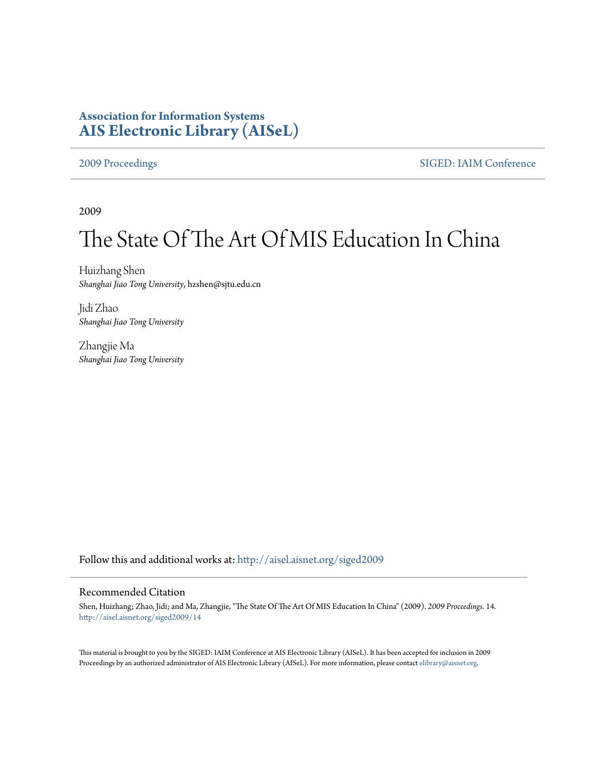# **Association for Information Systems [AIS Electronic Library \(AISeL\)](http://aisel.aisnet.org?utm_source=aisel.aisnet.org%2Fsiged2009%2F14&utm_medium=PDF&utm_campaign=PDFCoverPages)**

[2009 Proceedings](http://aisel.aisnet.org/siged2009?utm_source=aisel.aisnet.org%2Fsiged2009%2F14&utm_medium=PDF&utm_campaign=PDFCoverPages) [SIGED: IAIM Conference](http://aisel.aisnet.org/siged?utm_source=aisel.aisnet.org%2Fsiged2009%2F14&utm_medium=PDF&utm_campaign=PDFCoverPages)

2009

# The State Of The Art Of MIS Education In China

Huizhang Shen *Shanghai Jiao Tong University*, hzshen@sjtu.edu.cn

Jidi Zhao *Shanghai Jiao Tong University*

Zhangjie Ma *Shanghai Jiao Tong University*

Follow this and additional works at: [http://aisel.aisnet.org/siged2009](http://aisel.aisnet.org/siged2009?utm_source=aisel.aisnet.org%2Fsiged2009%2F14&utm_medium=PDF&utm_campaign=PDFCoverPages)

#### Recommended Citation

Shen, Huizhang; Zhao, Jidi; and Ma, Zhangjie, "The State Of The Art Of MIS Education In China" (2009). *2009 Proceedings*. 14. [http://aisel.aisnet.org/siged2009/14](http://aisel.aisnet.org/siged2009/14?utm_source=aisel.aisnet.org%2Fsiged2009%2F14&utm_medium=PDF&utm_campaign=PDFCoverPages)

This material is brought to you by the SIGED: IAIM Conference at AIS Electronic Library (AISeL). It has been accepted for inclusion in 2009 Proceedings by an authorized administrator of AIS Electronic Library (AISeL). For more information, please contact [elibrary@aisnet.org](mailto:elibrary@aisnet.org%3E).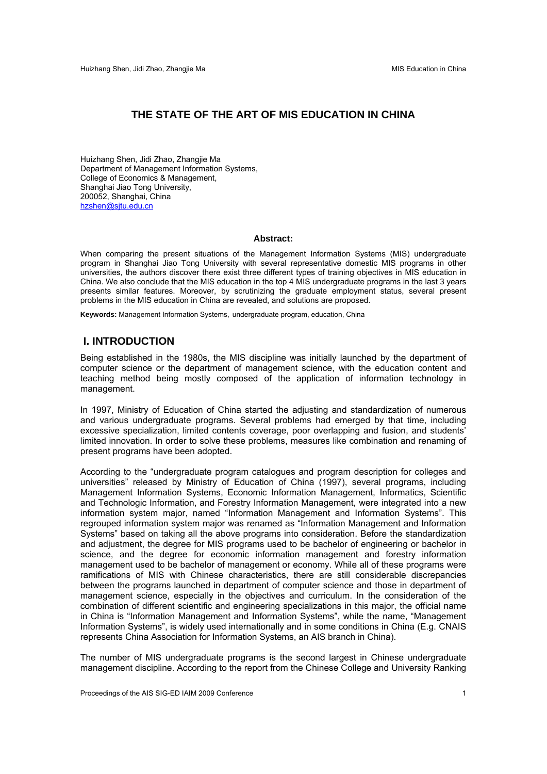# **THE STATE OF THE ART OF MIS EDUCATION IN CHINA**

Huizhang Shen, Jidi Zhao, Zhangjie Ma Department of Management Information Systems, College of Economics & Management, Shanghai Jiao Tong University, 200052, Shanghai, China hzshen@sjtu.edu.cn

#### **Abstract:**

When comparing the present situations of the Management Information Systems (MIS) undergraduate program in Shanghai Jiao Tong University with several representative domestic MIS programs in other universities, the authors discover there exist three different types of training objectives in MIS education in China. We also conclude that the MIS education in the top 4 MIS undergraduate programs in the last 3 years presents similar features. Moreover, by scrutinizing the graduate employment status, several present problems in the MIS education in China are revealed, and solutions are proposed.

**Keywords:** Management Information Systems, undergraduate program, education, China

# **I. INTRODUCTION**

Being established in the 1980s, the MIS discipline was initially launched by the department of computer science or the department of management science, with the education content and teaching method being mostly composed of the application of information technology in management.

In 1997, Ministry of Education of China started the adjusting and standardization of numerous and various undergraduate programs. Several problems had emerged by that time, including excessive specialization, limited contents coverage, poor overlapping and fusion, and students' limited innovation. In order to solve these problems, measures like combination and renaming of present programs have been adopted.

According to the "undergraduate program catalogues and program description for colleges and universities" released by Ministry of Education of China (1997), several programs, including Management Information Systems, Economic Information Management, Informatics, Scientific and Technologic Information, and Forestry Information Management, were integrated into a new information system major, named "Information Management and Information Systems". This regrouped information system major was renamed as "Information Management and Information Systems" based on taking all the above programs into consideration. Before the standardization and adjustment, the degree for MIS programs used to be bachelor of engineering or bachelor in science, and the degree for economic information management and forestry information management used to be bachelor of management or economy. While all of these programs were ramifications of MIS with Chinese characteristics, there are still considerable discrepancies between the programs launched in department of computer science and those in department of management science, especially in the objectives and curriculum. In the consideration of the combination of different scientific and engineering specializations in this major, the official name in China is "Information Management and Information Systems", while the name, "Management Information Systems", is widely used internationally and in some conditions in China (E.g. CNAIS represents China Association for Information Systems, an AIS branch in China).

The number of MIS undergraduate programs is the second largest in Chinese undergraduate management discipline. According to the report from the Chinese College and University Ranking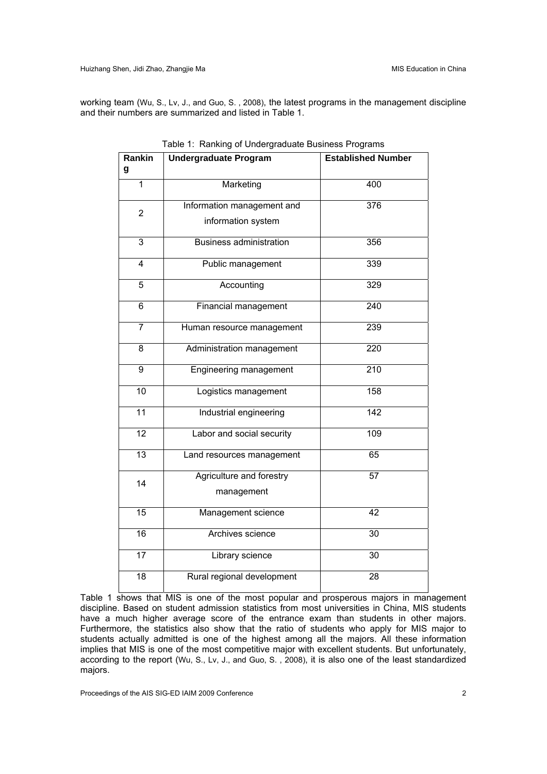working team (Wu, S., Lv, J., and Guo, S. , 2008), the latest programs in the management discipline and their numbers are summarized and listed in Table 1.

| Rankin          | <b>Undergraduate Program</b>   | <b>Established Number</b> |  |
|-----------------|--------------------------------|---------------------------|--|
| g               |                                |                           |  |
| 1               | Marketing                      | 400                       |  |
| $\overline{2}$  | Information management and     | 376                       |  |
|                 | information system             |                           |  |
| $\overline{3}$  | <b>Business administration</b> | 356                       |  |
| $\overline{4}$  | Public management              | 339                       |  |
| $\overline{5}$  | Accounting                     | 329                       |  |
| 6               | Financial management           | $\overline{240}$          |  |
| $\overline{7}$  | Human resource management      | 239                       |  |
| 8               | Administration management      | 220                       |  |
| $\overline{9}$  | Engineering management         | $\overline{210}$          |  |
| 10              | Logistics management           | 158                       |  |
| $\overline{11}$ | Industrial engineering         | 142                       |  |
| $\overline{12}$ | Labor and social security      | 109                       |  |
| 13              | Land resources management      | 65                        |  |
| 14              | Agriculture and forestry       | 57                        |  |
|                 | management                     |                           |  |
| $\overline{15}$ | Management science             | 42                        |  |
| 16              | Archives science               | $\overline{30}$           |  |
| 17              | Library science                | 30                        |  |
| $\overline{18}$ | Rural regional development     | 28                        |  |

| Table 1: Ranking of Undergraduate Business Programs |  |
|-----------------------------------------------------|--|
|-----------------------------------------------------|--|

Table 1 shows that MIS is one of the most popular and prosperous majors in management discipline. Based on student admission statistics from most universities in China, MIS students have a much higher average score of the entrance exam than students in other majors. Furthermore, the statistics also show that the ratio of students who apply for MIS major to students actually admitted is one of the highest among all the majors. All these information implies that MIS is one of the most competitive major with excellent students. But unfortunately, according to the report (Wu, S., Lv, J., and Guo, S. , 2008), it is also one of the least standardized majors.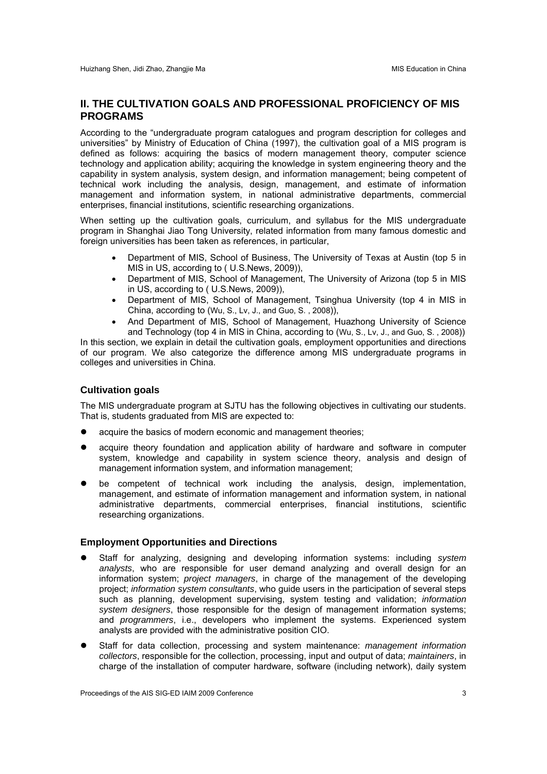# **II. THE CULTIVATION GOALS AND PROFESSIONAL PROFICIENCY OF MIS PROGRAMS**

According to the "undergraduate program catalogues and program description for colleges and universities" by Ministry of Education of China (1997), the cultivation goal of a MIS program is defined as follows: acquiring the basics of modern management theory, computer science technology and application ability; acquiring the knowledge in system engineering theory and the capability in system analysis, system design, and information management; being competent of technical work including the analysis, design, management, and estimate of information management and information system, in national administrative departments, commercial enterprises, financial institutions, scientific researching organizations.

When setting up the cultivation goals, curriculum, and syllabus for the MIS undergraduate program in Shanghai Jiao Tong University, related information from many famous domestic and foreign universities has been taken as references, in particular,

- Department of MIS, School of Business, The University of Texas at Austin (top 5 in MIS in US, according to ( U.S.News, 2009)),
- Department of MIS, School of Management, The University of Arizona (top 5 in MIS in US, according to ( U.S.News, 2009)),
- Department of MIS, School of Management, Tsinghua University (top 4 in MIS in China, according to (Wu, S., Lv, J., and Guo, S. , 2008)),
- And Department of MIS, School of Management, Huazhong University of Science and Technology (top 4 in MIS in China, according to (Wu, S., Lv, J., and Guo, S. , 2008))

In this section, we explain in detail the cultivation goals, employment opportunities and directions of our program. We also categorize the difference among MIS undergraduate programs in colleges and universities in China.

### **Cultivation goals**

The MIS undergraduate program at SJTU has the following objectives in cultivating our students. That is, students graduated from MIS are expected to:

- acquire the basics of modern economic and management theories;
- acquire theory foundation and application ability of hardware and software in computer system, knowledge and capability in system science theory, analysis and design of management information system, and information management;
- be competent of technical work including the analysis, design, implementation, management, and estimate of information management and information system, in national administrative departments, commercial enterprises, financial institutions, scientific researching organizations.

#### **Employment Opportunities and Directions**

- Staff for analyzing, designing and developing information systems: including *system analysts*, who are responsible for user demand analyzing and overall design for an information system; *project managers*, in charge of the management of the developing project; *information system consultants*, who guide users in the participation of several steps such as planning, development supervising, system testing and validation; *information system designers*, those responsible for the design of management information systems; and *programmers*, i.e., developers who implement the systems. Experienced system analysts are provided with the administrative position CIO.
- Staff for data collection, processing and system maintenance: *management information collectors*, responsible for the collection, processing, input and output of data; *maintainers*, in charge of the installation of computer hardware, software (including network), daily system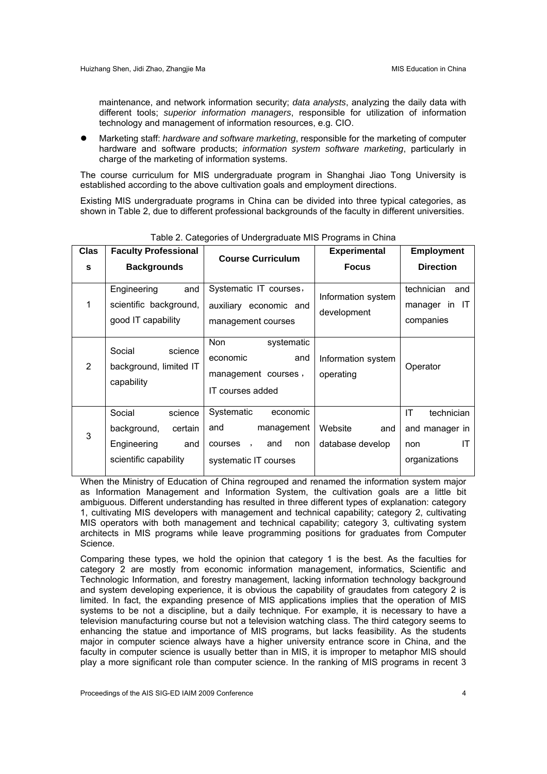maintenance, and network information security; *data analysts*, analyzing the daily data with different tools; *superior information managers*, responsible for utilization of information technology and management of information resources, e.g. CIO.

 Marketing staff: *hardware and software marketing*, responsible for the marketing of computer hardware and software products; *information system software marketing*, particularly in charge of the marketing of information systems.

The course curriculum for MIS undergraduate program in Shanghai Jiao Tong University is established according to the above cultivation goals and employment directions.

Existing MIS undergraduate programs in China can be divided into three typical categories, as shown in Table 2, due to different professional backgrounds of the faculty in different universities.

| <b>Clas</b><br>S | <b>Faculty Professional</b><br><b>Backgrounds</b>                                          | <b>Course Curriculum</b>                                                                       | <b>Experimental</b><br><b>Focus</b> | <b>Employment</b><br><b>Direction</b>                            |
|------------------|--------------------------------------------------------------------------------------------|------------------------------------------------------------------------------------------------|-------------------------------------|------------------------------------------------------------------|
| $\mathbf 1$      | Engineering<br>and<br>scientific background,<br>good IT capability                         | Systematic IT courses,<br>auxiliary economic and<br>management courses                         | Information system<br>development   | technician<br>and<br>manager in IT<br>companies                  |
| 2                | Social<br>science<br>background, limited IT<br>capability                                  | Non<br>systematic<br>economic<br>and<br>management courses,<br>IT courses added                | Information system<br>operating     | Operator                                                         |
| 3                | Social<br>science<br>background,<br>certain<br>Engineering<br>and<br>scientific capability | Systematic<br>economic<br>and<br>management<br>courses,<br>and<br>non<br>systematic IT courses | Website<br>and<br>database develop  | IT<br>technician<br>and manager in<br>ΙT<br>non<br>organizations |

Table 2. Categories of Undergraduate MIS Programs in China

When the Ministry of Education of China regrouped and renamed the information system major as Information Management and Information System, the cultivation goals are a little bit ambiguous. Different understanding has resulted in three different types of explanation: category 1, cultivating MIS developers with management and technical capability; category 2, cultivating MIS operators with both management and technical capability; category 3, cultivating system architects in MIS programs while leave programming positions for graduates from Computer Science.

Comparing these types, we hold the opinion that category 1 is the best. As the faculties for category 2 are mostly from economic information management, informatics, Scientific and Technologic Information, and forestry management, lacking information technology background and system developing experience, it is obvious the capability of graudates from category 2 is limited. In fact, the expanding presence of MIS applications implies that the operation of MIS systems to be not a discipline, but a daily technique. For example, it is necessary to have a television manufacturing course but not a television watching class. The third category seems to enhancing the statue and importance of MIS programs, but lacks feasibility. As the students major in computer science always have a higher university entrance score in China, and the faculty in computer science is usually better than in MIS, it is improper to metaphor MIS should play a more significant role than computer science. In the ranking of MIS programs in recent 3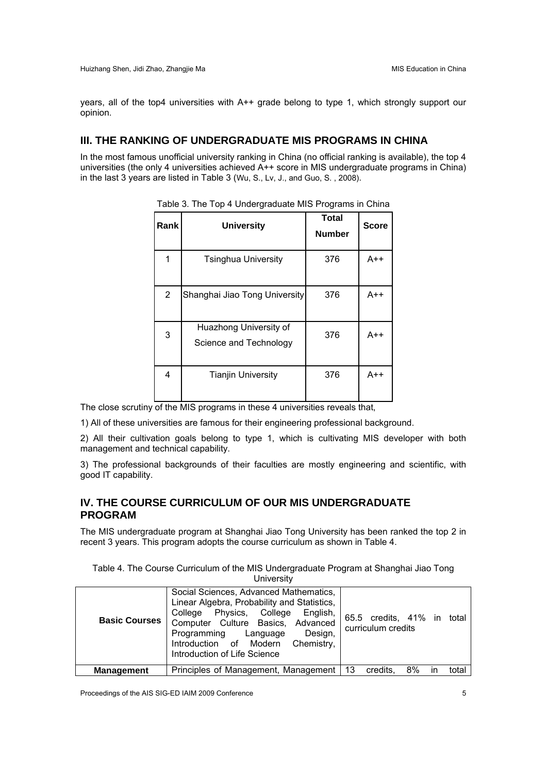years, all of the top4 universities with A++ grade belong to type 1, which strongly support our opinion.

# **III. THE RANKING OF UNDERGRADUATE MIS PROGRAMS IN CHINA**

In the most famous unofficial university ranking in China (no official ranking is available), the top 4 universities (the only 4 universities achieved A++ score in MIS undergraduate programs in China) in the last 3 years are listed in Table 3 (Wu, S., Lv, J., and Guo, S. , 2008).

| Rank           | <b>University</b>                                | <b>Total</b><br><b>Number</b> | <b>Score</b> |
|----------------|--------------------------------------------------|-------------------------------|--------------|
|                | <b>Tsinghua University</b>                       | 376                           | $A++$        |
| $\overline{2}$ | Shanghai Jiao Tong University                    | 376                           | $A++$        |
| 3              | Huazhong University of<br>Science and Technology | 376                           | $A++$        |
| 4              | <b>Tianjin University</b>                        | 376                           | $A++$        |

|  | Table 3. The Top 4 Undergraduate MIS Programs in China |  |
|--|--------------------------------------------------------|--|
|  |                                                        |  |

The close scrutiny of the MIS programs in these 4 universities reveals that,

1) All of these universities are famous for their engineering professional background.

2) All their cultivation goals belong to type 1, which is cultivating MIS developer with both management and technical capability.

3) The professional backgrounds of their faculties are mostly engineering and scientific, with good IT capability.

# **IV. THE COURSE CURRICULUM OF OUR MIS UNDERGRADUATE PROGRAM**

The MIS undergraduate program at Shanghai Jiao Tong University has been ranked the top 2 in recent 3 years. This program adopts the course curriculum as shown in Table 4.

Table 4. The Course Curriculum of the MIS Undergraduate Program at Shanghai Jiao Tong **University** 

| <b>Basic Courses</b> | Social Sciences, Advanced Mathematics,<br>Linear Algebra, Probability and Statistics,<br>Physics, College<br>College<br>English,<br>Computer Culture Basics, Advanced<br>Programming<br>Design,<br>Language<br>Chemistry,<br>Introduction of Modern<br>Introduction of Life Science | 65.5 credits, 41% in<br>total<br>curriculum credits |
|----------------------|-------------------------------------------------------------------------------------------------------------------------------------------------------------------------------------------------------------------------------------------------------------------------------------|-----------------------------------------------------|
| <b>Management</b>    | Principles of Management, Management   13                                                                                                                                                                                                                                           | 8%<br>total<br>credits.<br>ın                       |

Proceedings of the AIS SIG-ED IAIM 2009 Conference 5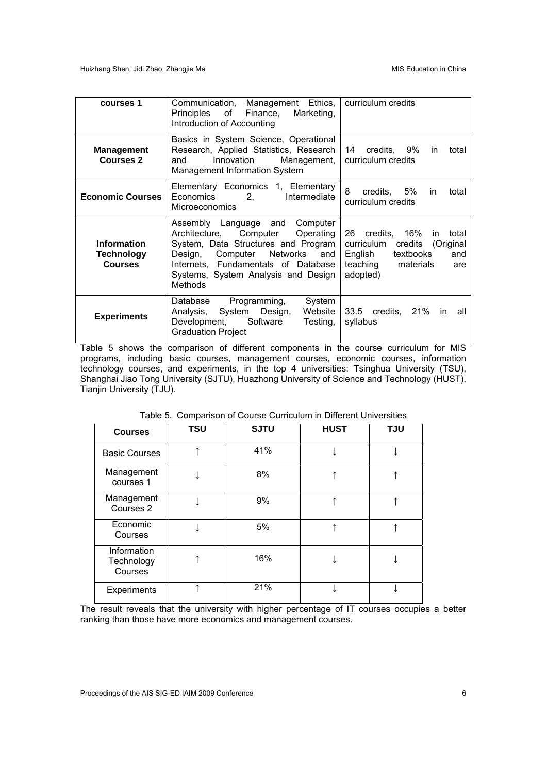| courses 1                                          | Communication, Management Ethics,<br>Principles of Finance, Marketing,<br>Introduction of Accounting                                                                                                                                                     | curriculum credits                                                                                                                      |
|----------------------------------------------------|----------------------------------------------------------------------------------------------------------------------------------------------------------------------------------------------------------------------------------------------------------|-----------------------------------------------------------------------------------------------------------------------------------------|
| <b>Management</b><br><b>Courses 2</b>              | Basics in System Science, Operational<br>Research, Applied Statistics, Research<br>Innovation Management,<br>and<br>Management Information System                                                                                                        | 14 credits, 9%<br>in<br>total<br>curriculum credits                                                                                     |
| <b>Economic Courses</b>                            | Elementary Economics 1, Elementary<br>2,<br>Economics<br>Intermediate<br><b>Microeconomics</b>                                                                                                                                                           | 8<br>credits, 5%<br>in.<br>total<br>curriculum credits                                                                                  |
| <b>Information</b><br>Technology<br><b>Courses</b> | Computer<br>Assembly Language and<br>Computer<br>Architecture,<br>Operating<br>System, Data Structures and Program<br>Design, Computer Networks<br>and I<br>Internets, Fundamentals of Database<br>Systems, System Analysis and Design<br><b>Methods</b> | 26 credits, 16%<br>total<br>in.<br>curriculum credits (Original<br>textbooks<br>English<br>and<br>teaching materials<br>are<br>adopted) |
| <b>Experiments</b>                                 | Programming,<br>System<br>Database<br>Analysis, System Design,<br>Website I<br>Development, Software<br>Testing,<br><b>Graduation Project</b>                                                                                                            | 33.5 credits, 21%<br>in.<br>all<br>syllabus                                                                                             |

Table 5 shows the comparison of different components in the course curriculum for MIS programs, including basic courses, management courses, economic courses, information technology courses, and experiments, in the top 4 universities: Tsinghua University (TSU), Shanghai Jiao Tong University (SJTU), Huazhong University of Science and Technology (HUST), Tianjin University (TJU).

| <b>Courses</b>                       | <b>TSU</b> | <b>SJTU</b> | <b>HUST</b> | <b>TJU</b> |
|--------------------------------------|------------|-------------|-------------|------------|
| <b>Basic Courses</b>                 |            | 41%         |             |            |
| Management<br>courses 1              |            | 8%          |             |            |
| Management<br>Courses 2              |            | 9%          |             |            |
| Economic<br>Courses                  |            | 5%          |             |            |
| Information<br>Technology<br>Courses |            | 16%         |             |            |
| Experiments                          |            | 21%         |             |            |

Table 5. Comparison of Course Curriculum in Different Universities

The result reveals that the university with higher percentage of IT courses occupies a better ranking than those have more economics and management courses.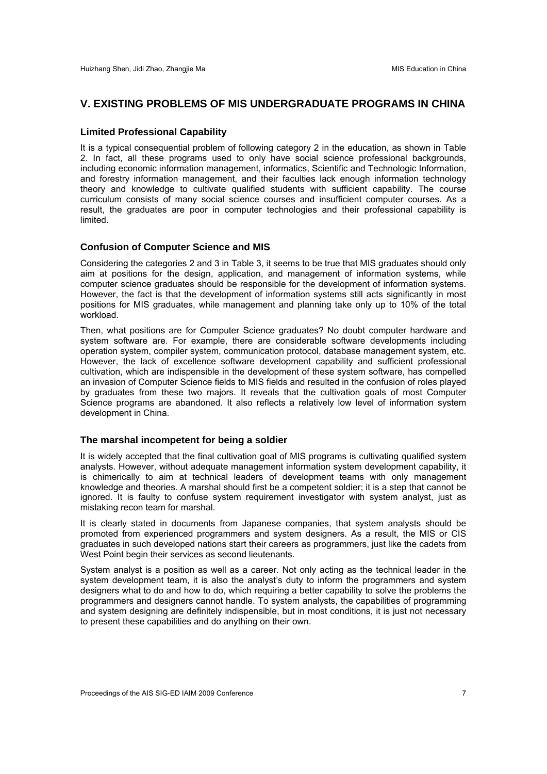#### **V. EXISTING PROBLEMS OF MIS UNDERGRADUATE PROGRAMS IN CHINA**

#### **Limited Professional Capability**

It is a typical consequential problem of following category 2 in the education, as shown in Table 2. In fact, all these programs used to only have social science professional backgrounds, including economic information management, informatics, Scientific and Technologic Information, and forestry information management, and their faculties lack enough information technology theory and knowledge to cultivate qualified students with sufficient capability. The course curriculum consists of many social science courses and insufficient computer courses. As a result, the graduates are poor in computer technologies and their professional capability is limited.

#### **Confusion of Computer Science and MIS**

Considering the categories 2 and 3 in Table 3, it seems to be true that MIS graduates should only aim at positions for the design, application, and management of information systems, while computer science graduates should be responsible for the development of information systems. However, the fact is that the development of information systems still acts significantly in most positions for MIS graduates, while management and planning take only up to 10% of the total workload.

Then, what positions are for Computer Science graduates? No doubt computer hardware and system software are. For example, there are considerable software developments including operation system, compiler system, communication protocol, database management system, etc. However, the lack of excellence software development capability and sufficient professional cultivation, which are indispensible in the development of these system software, has compelled an invasion of Computer Science fields to MIS fields and resulted in the confusion of roles played by graduates from these two majors. It reveals that the cultivation goals of most Computer Science programs are abandoned. It also reflects a relatively low level of information system development in China.

#### **The marshal incompetent for being a soldier**

It is widely accepted that the final cultivation goal of MIS programs is cultivating qualified system analysts. However, without adequate management information system development capability, it is chimerically to aim at technical leaders of development teams with only management knowledge and theories. A marshal should first be a competent soldier; it is a step that cannot be ignored. It is faulty to confuse system requirement investigator with system analyst, just as mistaking recon team for marshal.

It is clearly stated in documents from Japanese companies, that system analysts should be promoted from experienced programmers and system designers. As a result, the MIS or CIS graduates in such developed nations start their careers as programmers, just like the cadets from West Point begin their services as second lieutenants.

System analyst is a position as well as a career. Not only acting as the technical leader in the system development team, it is also the analyst's duty to inform the programmers and system designers what to do and how to do, which requiring a better capability to solve the problems the programmers and designers cannot handle. To system analysts, the capabilities of programming and system designing are definitely indispensible, but in most conditions, it is just not necessary to present these capabilities and do anything on their own.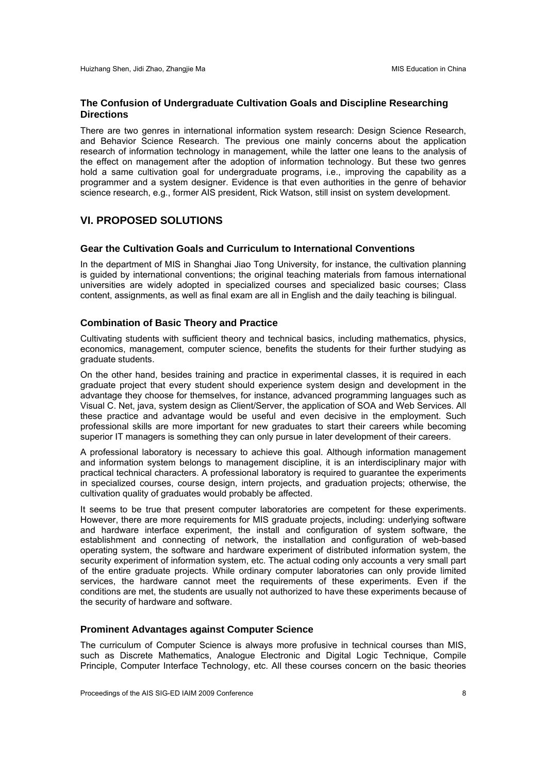#### **The Confusion of Undergraduate Cultivation Goals and Discipline Researching Directions**

There are two genres in international information system research: Design Science Research, and Behavior Science Research. The previous one mainly concerns about the application research of information technology in management, while the latter one leans to the analysis of the effect on management after the adoption of information technology. But these two genres hold a same cultivation goal for undergraduate programs, i.e., improving the capability as a programmer and a system designer. Evidence is that even authorities in the genre of behavior science research, e.g., former AIS president, Rick Watson, still insist on system development.

# **VI. PROPOSED SOLUTIONS**

#### **Gear the Cultivation Goals and Curriculum to International Conventions**

In the department of MIS in Shanghai Jiao Tong University, for instance, the cultivation planning is guided by international conventions; the original teaching materials from famous international universities are widely adopted in specialized courses and specialized basic courses; Class content, assignments, as well as final exam are all in English and the daily teaching is bilingual.

#### **Combination of Basic Theory and Practice**

Cultivating students with sufficient theory and technical basics, including mathematics, physics, economics, management, computer science, benefits the students for their further studying as graduate students.

On the other hand, besides training and practice in experimental classes, it is required in each graduate project that every student should experience system design and development in the advantage they choose for themselves, for instance, advanced programming languages such as Visual C. Net, java, system design as Client/Server, the application of SOA and Web Services. All these practice and advantage would be useful and even decisive in the employment. Such professional skills are more important for new graduates to start their careers while becoming superior IT managers is something they can only pursue in later development of their careers.

A professional laboratory is necessary to achieve this goal. Although information management and information system belongs to management discipline, it is an interdisciplinary major with practical technical characters. A professional laboratory is required to guarantee the experiments in specialized courses, course design, intern projects, and graduation projects; otherwise, the cultivation quality of graduates would probably be affected.

It seems to be true that present computer laboratories are competent for these experiments. However, there are more requirements for MIS graduate projects, including: underlying software and hardware interface experiment, the install and configuration of system software, the establishment and connecting of network, the installation and configuration of web-based operating system, the software and hardware experiment of distributed information system, the security experiment of information system, etc. The actual coding only accounts a very small part of the entire graduate projects. While ordinary computer laboratories can only provide limited services, the hardware cannot meet the requirements of these experiments. Even if the conditions are met, the students are usually not authorized to have these experiments because of the security of hardware and software.

#### **Prominent Advantages against Computer Science**

The curriculum of Computer Science is always more profusive in technical courses than MIS, such as Discrete Mathematics, Analogue Electronic and Digital Logic Technique, Compile Principle, Computer Interface Technology, etc. All these courses concern on the basic theories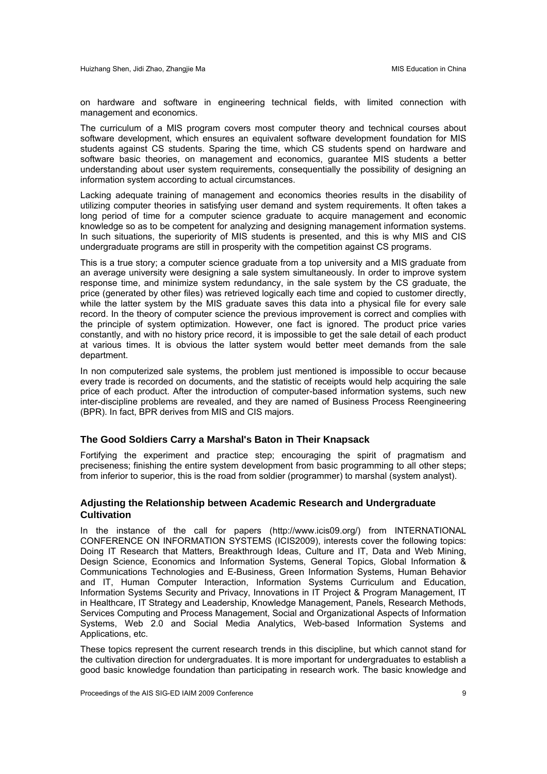on hardware and software in engineering technical fields, with limited connection with management and economics.

The curriculum of a MIS program covers most computer theory and technical courses about software development, which ensures an equivalent software development foundation for MIS students against CS students. Sparing the time, which CS students spend on hardware and software basic theories, on management and economics, guarantee MIS students a better understanding about user system requirements, consequentially the possibility of designing an information system according to actual circumstances.

Lacking adequate training of management and economics theories results in the disability of utilizing computer theories in satisfying user demand and system requirements. It often takes a long period of time for a computer science graduate to acquire management and economic knowledge so as to be competent for analyzing and designing management information systems. In such situations, the superiority of MIS students is presented, and this is why MIS and CIS undergraduate programs are still in prosperity with the competition against CS programs.

This is a true story; a computer science graduate from a top university and a MIS graduate from an average university were designing a sale system simultaneously. In order to improve system response time, and minimize system redundancy, in the sale system by the CS graduate, the price (generated by other files) was retrieved logically each time and copied to customer directly, while the latter system by the MIS graduate saves this data into a physical file for every sale record. In the theory of computer science the previous improvement is correct and complies with the principle of system optimization. However, one fact is ignored. The product price varies constantly, and with no history price record, it is impossible to get the sale detail of each product at various times. It is obvious the latter system would better meet demands from the sale department.

In non computerized sale systems, the problem just mentioned is impossible to occur because every trade is recorded on documents, and the statistic of receipts would help acquiring the sale price of each product. After the introduction of computer-based information systems, such new inter-discipline problems are revealed, and they are named of Business Process Reengineering (BPR). In fact, BPR derives from MIS and CIS majors.

#### **The Good Soldiers Carry a Marshal's Baton in Their Knapsack**

Fortifying the experiment and practice step; encouraging the spirit of pragmatism and preciseness; finishing the entire system development from basic programming to all other steps; from inferior to superior, this is the road from soldier (programmer) to marshal (system analyst).

#### **Adjusting the Relationship between Academic Research and Undergraduate Cultivation**

In the instance of the call for papers (http://www.icis09.org/) from INTERNATIONAL CONFERENCE ON INFORMATION SYSTEMS (ICIS2009), interests cover the following topics: Doing IT Research that Matters, Breakthrough Ideas, Culture and IT, Data and Web Mining, Design Science, Economics and Information Systems, General Topics, Global Information & Communications Technologies and E-Business, Green Information Systems, Human Behavior and IT, Human Computer Interaction, Information Systems Curriculum and Education, Information Systems Security and Privacy, Innovations in IT Project & Program Management, IT in Healthcare, IT Strategy and Leadership, Knowledge Management, Panels, Research Methods, Services Computing and Process Management, Social and Organizational Aspects of Information Systems, Web 2.0 and Social Media Analytics, Web-based Information Systems and Applications, etc.

These topics represent the current research trends in this discipline, but which cannot stand for the cultivation direction for undergraduates. It is more important for undergraduates to establish a good basic knowledge foundation than participating in research work. The basic knowledge and